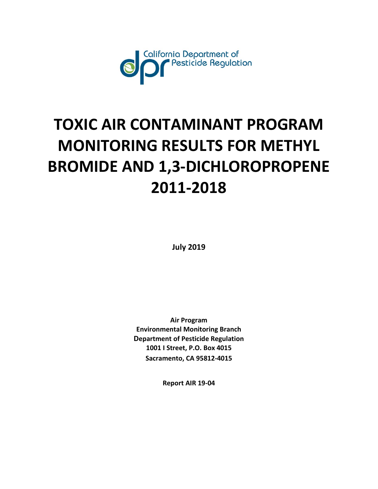

# **TOXIC AIR CONTAMINANT PROGRAM MONITORING RESULTS FOR METHYL BROMIDE AND 1,3-DICHLOROPROPENE 2011-2018**

**July 2019** 

**Air Program Environmental Monitoring Branch Department of Pesticide Regulation 1001 I Street, P.O. Box 4015 Sacramento, CA 95812-4015** 

**Report AIR 19-04**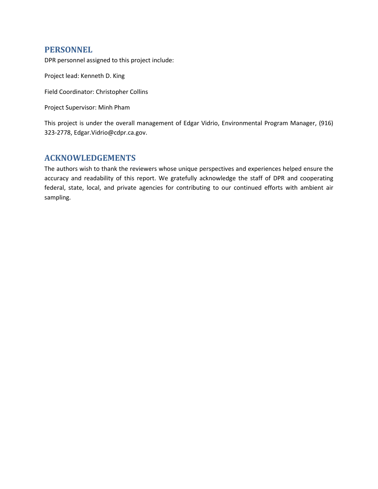## **PERSONNEL**

DPR personnel assigned to this project include:

Project lead: Kenneth D. King

Field Coordinator: Christopher Collins

Project Supervisor: Minh Pham

This project is under the overall management of Edgar Vidrio, Environmental Program Manager, (916) 323-2778, Edgar.Vidrio@cdpr.ca.gov.

## **ACKNOWLEDGEMENTS**

The authors wish to thank the reviewers whose unique perspectives and experiences helped ensure the accuracy and readability of this report. We gratefully acknowledge the staff of DPR and cooperating federal, state, local, and private agencies for contributing to our continued efforts with ambient air sampling.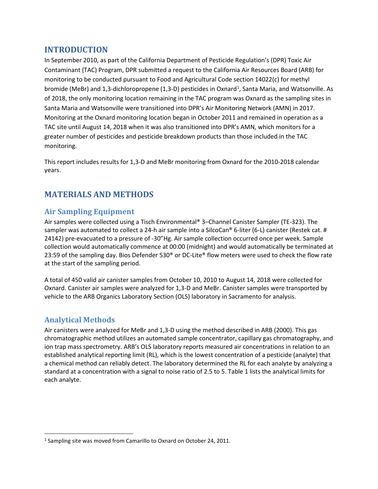# **INTRODUCTION**

In September 2010, as part of the California Department of Pesticide Regulation's (DPR) Toxic Air Contaminant (TAC) Program, DPR submitted a request to the California Air Resources Board (ARB) for monitoring to be conducted pursuant to Food and Agricultural Code section 14022(c) for methyl bromide (MeBr) and [1](#page-2-0),3-dichloropropene (1,3-D) pesticides in Oxnard<sup>1</sup>, Santa Maria, and Watsonville. As of 2018, the only monitoring location remaining in the TAC program was Oxnard as the sampling sites in Santa Maria and Watsonville were transitioned into DPR's Air Monitoring Network (AMN) in 2017. Monitoring at the Oxnard monitoring location began in October 2011 and remained in operation as a TAC site until August 14, 2018 when it was also transitioned into DPR's AMN, which monitors for a greater number of pesticides and pesticide breakdown products than those included in the TAC monitoring.

This report includes results for 1,3-D and MeBr monitoring from Oxnard for the 2010-2018 calendar years.

# **MATERIALS AND METHODS**

# **Air Sampling Equipment**

Air samples were collected using a Tisch Environmental® 3–Channel Canister Sampler (TE-323). The sampler was automated to collect a 24-h air sample into a SilcoCan® 6-liter (6-L) canister (Restek cat. # 24142) pre-evacuated to a pressure of -30"Hg. Air sample collection occurred once per week. Sample collection would automatically commence at 00:00 (midnight) and would automatically be terminated at 23:59 of the sampling day. Bios Defender 530® or DC-Lite® flow meters were used to check the flow rate at the start of the sampling period.

A total of 450 valid air canister samples from October 10, 2010 to August 14, 2018 were collected for Oxnard. Canister air samples were analyzed for 1,3-D and MeBr. Canister samples were transported by vehicle to the ARB Organics Laboratory Section (OLS) laboratory in Sacramento for analysis.

# **Analytical Methods**

l

Air canisters were analyzed for MeBr and 1,3-D using the method described in ARB (2000). This gas chromatographic method utilizes an automated sample concentrator, capillary gas chromatography, and ion trap mass spectrometry. ARB's OLS laboratory reports measured air concentrations in relation to an established analytical reporting limit (RL), which is the lowest concentration of a pesticide (analyte) that a chemical method can reliably detect. The laboratory determined the RL for each analyte by analyzing a standard at a concentration with a signal to noise ratio of 2.5 to 5[. Table 1](#page-3-0) lists the analytical limits for each analyte.

<span id="page-2-0"></span><sup>&</sup>lt;sup>1</sup> Sampling site was moved from Camarillo to Oxnard on October 24, 2011.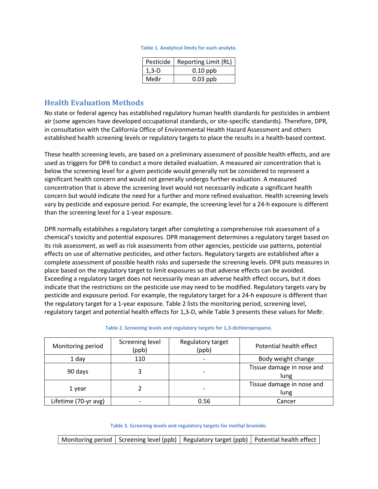#### **Table 1. Analytical limits for each analyte.**

| Pesticide | Reporting Limit (RL) |
|-----------|----------------------|
| $1.3-D$   | $0.10$ ppb           |
| MeBr      | $0.03$ ppb           |

## <span id="page-3-0"></span>**Health Evaluation Methods**

 No state or federal agency has established regulatory human health standards for pesticides in ambient air (some agencies have developed occupational standards, or site-specific standards). Therefore, DPR, in consultation with the California Office of Environmental Health Hazard Assessment and others established health screening levels or regulatory targets to place the results in a health-based context.

These health screening levels, are based on a preliminary assessment of possible health effects, and are used as triggers for DPR to conduct a more detailed evaluation. A measured air concentration that is below the screening level for a given pesticide would generally not be considered to represent a significant health concern and would not generally undergo further evaluation. A measured concentration that is above the screening level would not necessarily indicate a significant health concern but would indicate the need for a further and more refined evaluation. Health screening levels vary by pesticide and exposure period. For example, the screening level for a 24-h exposure is different than the screening level for a 1-year exposure.

DPR normally establishes a regulatory target after completing a comprehensive risk assessment of a chemical's toxicity and potential exposures. DPR management determines a regulatory target based on its risk assessment, as well as risk assessments from other agencies, pesticide use patterns, potential effects on use of alternative pesticides, and other factors. Regulatory targets are established after a complete assessment of possible health risks and supersede the screening levels. DPR puts measures in place based on the regulatory target to limit exposures so that adverse effects can be avoided. Exceeding a regulatory target does not necessarily mean an adverse health effect occurs, but it does indicate that the restrictions on the pesticide use may need to be modified. Regulatory targets vary by pesticide and exposure period. For example, the regulatory target for a 24-h exposure is different than the regulatory target for a 1-year exposure[. Table 2](#page-3-1) lists the monitoring period, screening level, regulatory target and potential health effects for 1,3-D, while [Table 3 p](#page-3-2)resents these values for MeBr.

**Table 2. Screening levels and regulatory targets for 1,3-dichloropropene.** 

<span id="page-3-1"></span>

| Monitoring period    | Screening level<br>(ppb) | Regulatory target<br>(ppb) | Potential health effect           |
|----------------------|--------------------------|----------------------------|-----------------------------------|
| 1 day                | 110                      | -                          | Body weight change                |
| 90 days              |                          |                            | Tissue damage in nose and<br>lung |
| 1 year               |                          |                            | Tissue damage in nose and<br>lung |
| Lifetime (70-yr avg) |                          | 0.56                       | Cancer                            |

**Table 3. Screening levels and regulatory targets for methyl bromide.** 

<span id="page-3-2"></span>Monitoring period Screening level (ppb) Regulatory target (ppb) Potential health effect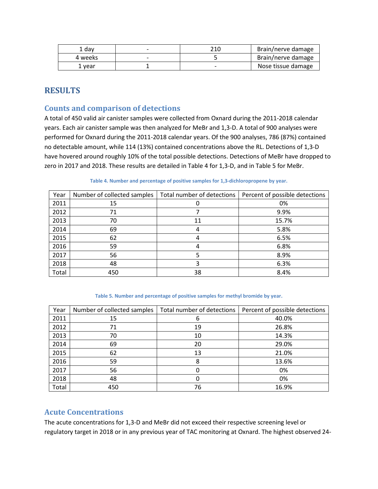| ⊥ dav   | 210 | Brain/nerve damage |
|---------|-----|--------------------|
| 4 weeks |     | Brain/nerve damage |
| vear    |     | Nose tissue damage |

# **RESULTS**

## **Counts and comparison of detections**

 have hovered around roughly 10% of the total possible detections. Detections of MeBr have dropped to zero in 2017 and 2018. These results are detailed i[n Table 4](#page-4-0) for 1,3-D, and i[n Table 5](#page-4-1) for MeBr. A total of 450 valid air canister samples were collected from Oxnard during the 2011-2018 calendar years. Each air canister sample was then analyzed for MeBr and 1,3-D. A total of 900 analyses were performed for Oxnard during the 2011-2018 calendar years. Of the 900 analyses, 786 (87%) contained no detectable amount, while 114 (13%) contained concentrations above the RL. Detections of 1,3-D

<span id="page-4-0"></span>

| Year  | Number of collected samples | Total number of detections | Percent of possible detections |
|-------|-----------------------------|----------------------------|--------------------------------|
| 2011  | 15                          |                            | 0%                             |
| 2012  | 71                          |                            | 9.9%                           |
| 2013  | 70                          | 11                         | 15.7%                          |
| 2014  | 69                          | Δ                          | 5.8%                           |
| 2015  | 62                          | 4                          | 6.5%                           |
| 2016  | 59                          | 4                          | 6.8%                           |
| 2017  | 56                          |                            | 8.9%                           |
| 2018  | 48                          | 3                          | 6.3%                           |
| Total | 450                         | 38                         | 8.4%                           |

**Table 4. Number and percentage of positive samples for 1,3-dichloropropene by year.** 

| Table 5. Number and percentage of positive samples for methyl bromide by year. |  |
|--------------------------------------------------------------------------------|--|
|--------------------------------------------------------------------------------|--|

<span id="page-4-1"></span>

| Year  | Number of collected samples | Total number of detections | Percent of possible detections |
|-------|-----------------------------|----------------------------|--------------------------------|
| 2011  | 15                          | 6                          | 40.0%                          |
| 2012  | 71                          | 19                         | 26.8%                          |
| 2013  | 70                          | 10                         | 14.3%                          |
| 2014  | 69                          | 20                         | 29.0%                          |
| 2015  | 62                          | 13                         | 21.0%                          |
| 2016  | 59                          | 8                          | 13.6%                          |
| 2017  | 56                          |                            | 0%                             |
| 2018  | 48                          | O                          | 0%                             |
| Total | 450                         | 76                         | 16.9%                          |

## **Acute Concentrations**

The acute concentrations for 1,3-D and MeBr did not exceed their respective screening level or regulatory target in 2018 or in any previous year of TAC monitoring at Oxnard. The highest observed 24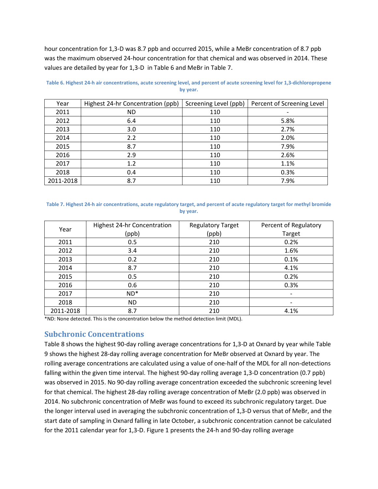hour concentration for 1,3-D was 8.7 ppb and occurred 2015, while a MeBr concentration of 8.7 ppb was the maximum observed 24-hour concentration for that chemical and was observed in 2014. These values are detailed by year for 1,3-D i[n Table 6](#page-5-0) and MeBr i[n Table 7.](#page-5-1)

| Year      | Highest 24-hr Concentration (ppb) | Screening Level (ppb) | Percent of Screening Level |
|-----------|-----------------------------------|-----------------------|----------------------------|
| 2011      | <b>ND</b>                         | 110                   |                            |
| 2012      | 6.4                               | 110                   | 5.8%                       |
| 2013      | 3.0                               | 110                   | 2.7%                       |
| 2014      | 2.2                               | 110                   | 2.0%                       |
| 2015      | 8.7                               | 110                   | 7.9%                       |
| 2016      | 2.9                               | 110                   | 2.6%                       |
| 2017      | 1.2                               | 110                   | 1.1%                       |
| 2018      | 0.4                               | 110                   | 0.3%                       |
| 2011-2018 | 8.7                               | 110                   | 7.9%                       |

<span id="page-5-0"></span>**Table 6. Highest 24-h air concentrations, acute screening level, and percent of acute screening level for 1,3-dichloropropene by year.** 

#### <span id="page-5-1"></span>**Table 7. Highest 24-h air concentrations, acute regulatory target, and percent of acute regulatory target for methyl bromide by year.**

|           | Highest 24-hr Concentration | <b>Regulatory Target</b> | Percent of Regulatory    |
|-----------|-----------------------------|--------------------------|--------------------------|
| Year      | (ppb)                       | (ppb)                    | Target                   |
| 2011      | 0.5                         | 210                      | 0.2%                     |
| 2012      | 3.4                         | 210                      | 1.6%                     |
| 2013      | 0.2                         | 210                      | 0.1%                     |
| 2014      | 8.7                         | 210                      | 4.1%                     |
| 2015      | 0.5                         | 210                      | 0.2%                     |
| 2016      | 0.6                         | 210                      | 0.3%                     |
| 2017      | $ND^*$                      | 210                      | $\overline{\phantom{a}}$ |
| 2018      | <b>ND</b>                   | 210                      |                          |
| 2011-2018 | 8.7                         | 210                      | 4.1%                     |

\*ND: None detected. This is the concentration below the method detection limit (MDL).

## **Subchronic Concentrations**

Table 8 shows the highest 90-day rolling average concentrations for 1,3-D at Oxnard by year while Table 9 shows the highest 28-day rolling average concentration for MeBr observed at Oxnard by year. The rolling average concentrations are calculated using a value of one-half of the MDL for all non-detections falling within the given time interval. The highest 90-day rolling average 1,3-D concentration (0.7 ppb) was observed in 2015. No 90-day rolling average concentration exceeded the subchronic screening level for that chemical. The highest 28-day rolling average concentration of MeBr (2.0 ppb) was observed in 2014. No subchronic concentration of MeBr was found to exceed its subchronic regulatory target. Due the longer interval used in averaging the subchronic concentration of 1,3-D versus that of MeBr, and the start date of sampling in Oxnard falling in late October, a subchronic concentration cannot be calculated for the 2011 calendar year for 1,3-D[. Figure 1](#page-7-0) presents the 24-h and 90-day rolling average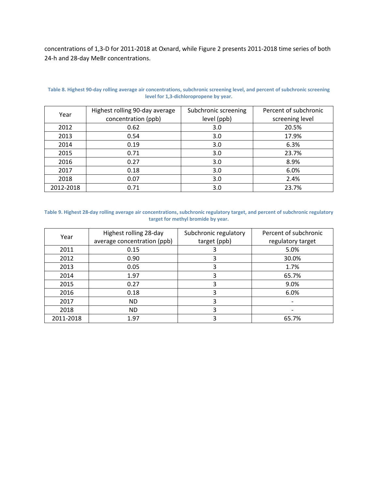concentrations of 1,3-D for 2011-2018 at Oxnard, whil[e Figure 2](#page-7-1) presents 2011-2018 time series of both 24-h and 28-day MeBr concentrations.

| Year      | Highest rolling 90-day average | Subchronic screening | Percent of subchronic |
|-----------|--------------------------------|----------------------|-----------------------|
|           | concentration (ppb)            | level (ppb)          | screening level       |
| 2012      | 0.62                           | 3.0                  | 20.5%                 |
| 2013      | 0.54                           | 3.0                  | 17.9%                 |
| 2014      | 0.19                           | 3.0                  | 6.3%                  |
| 2015      | 0.71                           | 3.0                  | 23.7%                 |
| 2016      | 0.27                           | 3.0                  | 8.9%                  |
| 2017      | 0.18                           | 3.0                  | 6.0%                  |
| 2018      | 0.07                           | 3.0                  | 2.4%                  |
| 2012-2018 | 0.71                           | 3.0                  | 23.7%                 |

**Table 8. Highest 90-day rolling average air concentrations, subchronic screening level, and percent of subchronic screening level for 1,3-dichloropropene by year.** 

#### **target for methyl bromide by year. Table 9. Highest 28-day rolling average air concentrations, subchronic regulatory target, and percent of subchronic regulatory**

|           | Highest rolling 28-day      | Subchronic regulatory | Percent of subchronic |
|-----------|-----------------------------|-----------------------|-----------------------|
| Year      | average concentration (ppb) | target (ppb)          | regulatory target     |
| 2011      | 0.15                        |                       | 5.0%                  |
| 2012      | 0.90                        |                       | 30.0%                 |
| 2013      | 0.05                        | 3                     | 1.7%                  |
| 2014      | 1.97                        | 3                     | 65.7%                 |
| 2015      | 0.27                        |                       | 9.0%                  |
| 2016      | 0.18                        | 3                     | 6.0%                  |
| 2017      | ND.                         | 3                     |                       |
| 2018      | ND.                         |                       |                       |
| 2011-2018 | 1.97                        | 3                     | 65.7%                 |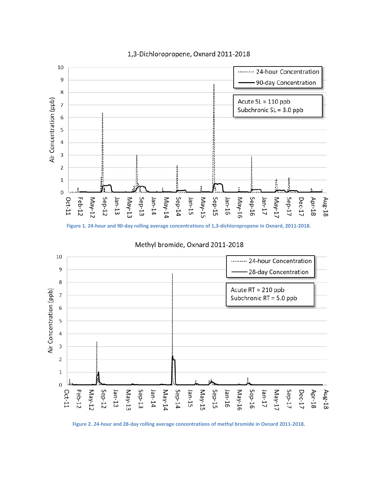

#### 1,3-Dichloropropene, Oxnard 2011-2018

**Figure 1. 24-hour and 90-day rolling average concentrations of 1,3-dichloropropene in Oxnard, 2011-2018.** 

<span id="page-7-0"></span>

Methyl bromide, Oxnard 2011-2018

<span id="page-7-1"></span>**Figure 2. 24-hour and 28-day rolling average concentrations of methyl bromide in Oxnard 2011-2018.**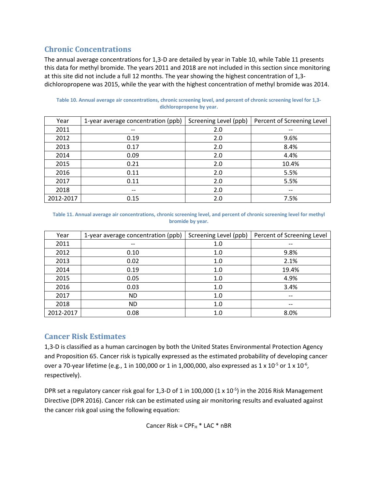# **Chronic Concentrations**

The annual average concentrations for 1,3-D are detailed by year i[n Table 10,](#page-8-0) whil[e Table 11](#page-8-1) presents this data for methyl bromide. The years 2011 and 2018 are not included in this section since monitoring at this site did not include a full 12 months. The year showing the highest concentration of 1,3 dichloropropene was 2015, while the year with the highest concentration of methyl bromide was 2014.

| Year      | 1-year average concentration (ppb)    | Screening Level (ppb) | Percent of Screening Level |
|-----------|---------------------------------------|-----------------------|----------------------------|
| 2011      | --                                    | 2.0                   | $- -$                      |
| 2012      | 0.19                                  | 2.0                   | 9.6%                       |
| 2013      | 0.17                                  | 2.0                   | 8.4%                       |
| 2014      | 0.09                                  | 2.0                   | 4.4%                       |
| 2015      | 0.21                                  | 2.0                   | 10.4%                      |
| 2016      | 0.11                                  | 2.0                   | 5.5%                       |
| 2017      | 0.11                                  | 2.0                   | 5.5%                       |
| 2018      | $\hspace{0.05cm}$ – $\hspace{0.05cm}$ | 2.0                   | $- -$                      |
| 2012-2017 | 0.15                                  | 2.0                   | 7.5%                       |

<span id="page-8-0"></span>**Table 10. Annual average air concentrations, chronic screening level, and percent of chronic screening level for 1,3 dichloropropene by year.** 

#### <span id="page-8-1"></span> **bromide by year. Table 11. Annual average air concentrations, chronic screening level, and percent of chronic screening level for methyl**

| Year      | 1-year average concentration (ppb) | Screening Level (ppb) | Percent of Screening Level |
|-----------|------------------------------------|-----------------------|----------------------------|
| 2011      | $- -$                              | 1.0                   | --                         |
| 2012      | 0.10                               | 1.0                   | 9.8%                       |
| 2013      | 0.02                               | 1.0                   | 2.1%                       |
| 2014      | 0.19                               | 1.0                   | 19.4%                      |
| 2015      | 0.05                               | 1.0                   | 4.9%                       |
| 2016      | 0.03                               | 1.0                   | 3.4%                       |
| 2017      | <b>ND</b>                          | 1.0                   | $\overline{\phantom{m}}$   |
| 2018      | <b>ND</b>                          | 1.0                   | --                         |
| 2012-2017 | 0.08                               | 1.0                   | 8.0%                       |

# **Cancer Risk Estimates**

1,3-D is classified as a human carcinogen by both the United States Environmental Protection Agency and Proposition 65. Cancer risk is typically expressed as the estimated probability of developing cancer over a 70-year lifetime (e.g., 1 in 100,000 or 1 in 1,000,000, also expressed as 1 x 10<sup>-5</sup> or 1 x 10<sup>-6</sup>, respectively).

DPR set a regulatory cancer risk goal for 1,3-D of 1 in 100,000  $(1 \times 10^{-5})$  in the 2016 Risk Management Directive (DPR 2016). Cancer risk can be estimated using air monitoring results and evaluated against the cancer risk goal using the following equation:

Cancer Risk = 
$$
CPF_H * LAC * nBR
$$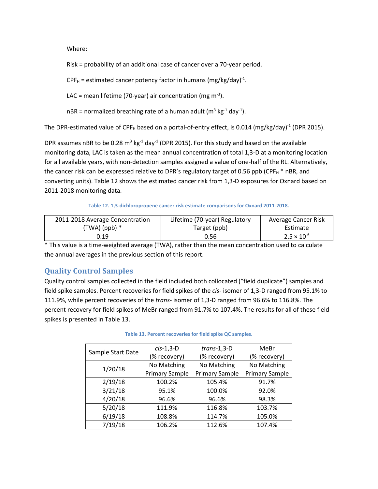Where:

Risk = probability of an additional case of cancer over a 70-year period.

 $CPF_H$  = estimated cancer potency factor in humans (mg/kg/day)<sup>-1</sup>.

LAC = mean lifetime (70-year) air concentration (mg m<sup>-3</sup>).

nBR = normalized breathing rate of a human adult ( $m^3$  kg<sup>-1</sup> day<sup>-1</sup>).

The DPR-estimated value of CPF<sub>H</sub> based on a portal-of-entry effect, is 0.014 (mg/kg/day)<sup>-1</sup> (DPR 2015).

DPR assumes nBR to be 0.28  $m^3$  kg<sup>-1</sup> day<sup>-1</sup> (DPR 2015). For this study and based on the available monitoring data, LAC is taken as the mean annual concentration of total 1,3-D at a monitoring location for all available years, with non-detection samples assigned a value of one-half of the RL. Alternatively, the cancer risk can be expressed relative to DPR's regulatory target of 0.56 ppb (CPF $_H$  \* nBR, and converting units). [Table 12](#page-9-0) shows the estimated cancer risk from 1,3-D exposures for Oxnard based on 2011-2018 monitoring data.

#### **Table 12. 1,3-dichloropropene cancer risk estimate comparisons for Oxnard 2011-2018.**

<span id="page-9-0"></span>

| 2011-2018 Average Concentration | Lifetime (70-year) Regulatory | Average Cancer Risk  |
|---------------------------------|-------------------------------|----------------------|
| (TWA) (ppb) *                   | Target (ppb)                  | Estimate             |
| 0.19                            | 0.56                          | $2.5 \times 10^{-6}$ |

\* This value is a time-weighted average (TWA), rather than the mean concentration used to calculate the annual averages in the previous section of this report.

# **Quality Control Samples**

Quality control samples collected in the field included both collocated ("field duplicate") samples and field spike samples. Percent recoveries for field spikes of the *cis-* isomer of 1,3-D ranged from 95.1% to 111.9%, while percent recoveries of the *trans*- isomer of 1,3-D ranged from 96.6% to 116.8%. The percent recovery for field spikes of MeBr ranged from 91.7% to 107.4%. The results for all of these field spikes is presented in [Table 13.](#page-9-1)

<span id="page-9-1"></span>

|                   | $cis-1,3-D$           | $trans-1,3-D$         | MeBr                  |  |
|-------------------|-----------------------|-----------------------|-----------------------|--|
| Sample Start Date | (% recovery)          | (% recovery)          | (% recovery)          |  |
| 1/20/18           | No Matching           | No Matching           | No Matching           |  |
|                   | <b>Primary Sample</b> | <b>Primary Sample</b> | <b>Primary Sample</b> |  |
| 2/19/18           | 100.2%                | 105.4%                | 91.7%                 |  |
| 3/21/18           | 95.1%                 | 100.0%                | 92.0%                 |  |
| 4/20/18           | 96.6%                 | 96.6%                 | 98.3%                 |  |
| 5/20/18           | 111.9%                | 116.8%                | 103.7%                |  |
| 6/19/18           | 108.8%                | 114.7%                | 105.0%                |  |
| 7/19/18           | 106.2%                | 112.6%                | 107.4%                |  |

#### **Table 13. Percent recoveries for field spike QC samples.**